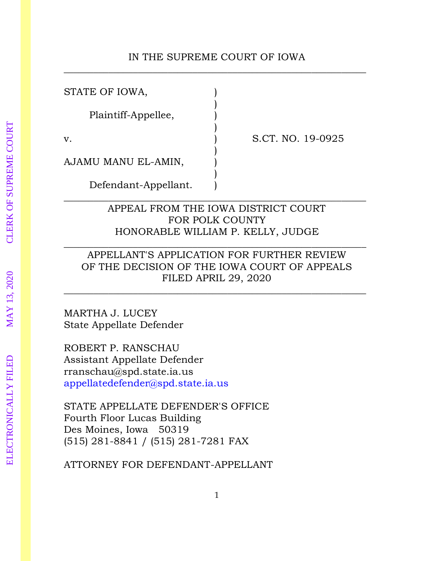### IN THE SUPREME COURT OF IOWA  $\_$  , and the contribution of the contribution of  $\mathcal{L}_1$  , and the contribution of  $\mathcal{L}_2$  , and the contribution of  $\mathcal{L}_1$

)

)

)

)

 $\overline{\phantom{a}}$  , and the contract of the contract of the contract of the contract of the contract of the contract of the contract of the contract of the contract of the contract of the contract of the contract of the contrac

STATE OF IOWA,

Plaintiff-Appellee, )

v. S.CT. NO. 19-0925

AJAMU MANU EL-AMIN,

Defendant-Appellant. )

## APPEAL FROM THE IOWA DISTRICT COURT FOR POLK COUNTY HONORABLE WILLIAM P. KELLY, JUDGE

# APPELLANT'S APPLICATION FOR FURTHER REVIEW OF THE DECISION OF THE IOWA COURT OF APPEALS FILED APRIL 29, 2020

 $\_$  , and the contribution of the contribution of  $\mathcal{L}_1$  , and the contribution of  $\mathcal{L}_2$  , and the contribution of  $\mathcal{L}_1$ 

 $\overline{\phantom{a}}$  , and the contract of the contract of the contract of the contract of the contract of the contract of the contract of the contract of the contract of the contract of the contract of the contract of the contrac

MARTHA J. LUCEY State Appellate Defender

ROBERT P. RANSCHAU Assistant Appellate Defender rranschau@spd.state.ia.us [appellatedefender@spd.state.ia.us](mailto:appellatedefender@spd.state.ia.us)

STATE APPELLATE DEFENDER'S OFFICE Fourth Floor Lucas Building Des Moines, Iowa 50319 (515) 281-8841 / (515) 281-7281 FAX

ATTORNEY FOR DEFENDANT-APPELLANT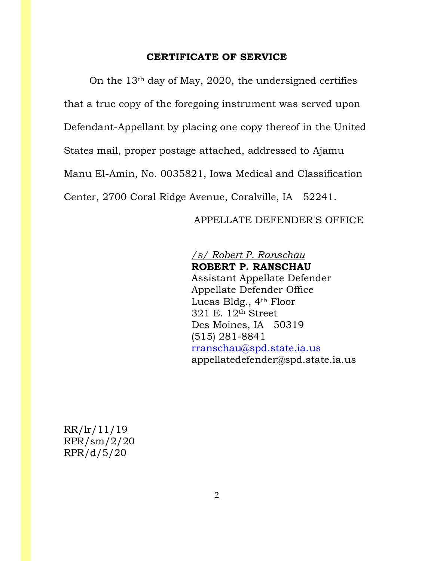### **CERTIFICATE OF SERVICE**

On the 13th day of May, 2020, the undersigned certifies that a true copy of the foregoing instrument was served upon Defendant-Appellant by placing one copy thereof in the United States mail, proper postage attached, addressed to Ajamu Manu El-Amin, No. 0035821, Iowa Medical and Classification Center, 2700 Coral Ridge Avenue, Coralville, IA 52241.

### APPELLATE DEFENDER'S OFFICE

*/s/ Robert P. Ranschau* **ROBERT P. RANSCHAU** Assistant Appellate Defender Appellate Defender Office Lucas Bldg., 4th Floor 321 E. 12th Street Des Moines, IA 50319 (515) 281-8841 [rranschau@spd.state.ia.us](mailto:rranschau@spd.state.ia.us) [appellatedefender@spd.state.ia.us](mailto:appellatedefender@spd.state.ia.us)

RR/lr/11/19 RPR/sm/2/20 RPR/d/5/20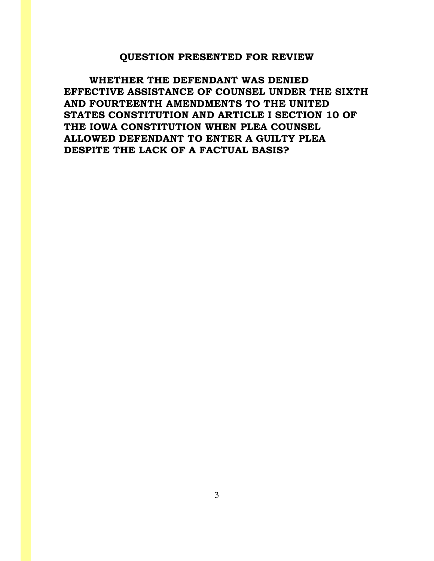### **QUESTION PRESENTED FOR REVIEW**

**WHETHER THE DEFENDANT WAS DENIED EFFECTIVE ASSISTANCE OF COUNSEL UNDER THE SIXTH AND FOURTEENTH AMENDMENTS TO THE UNITED STATES CONSTITUTION AND ARTICLE I SECTION 10 OF THE IOWA CONSTITUTION WHEN PLEA COUNSEL ALLOWED DEFENDANT TO ENTER A GUILTY PLEA DESPITE THE LACK OF A FACTUAL BASIS?**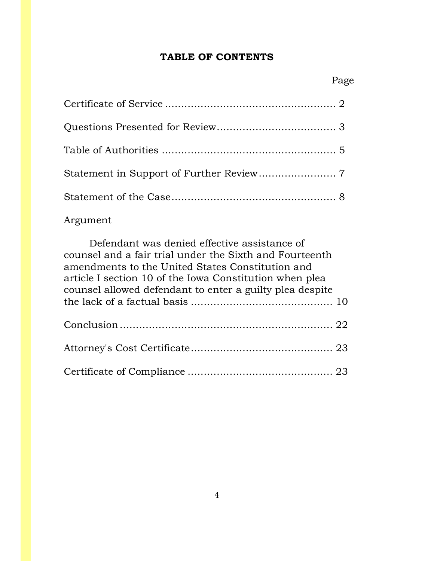# **TABLE OF CONTENTS**

# Argument

| Defendant was denied effective assistance of                                                                                                                           |  |
|------------------------------------------------------------------------------------------------------------------------------------------------------------------------|--|
| counsel and a fair trial under the Sixth and Fourteenth<br>amendments to the United States Constitution and<br>article I section 10 of the Iowa Constitution when plea |  |
| counsel allowed defendant to enter a guilty plea despite                                                                                                               |  |
|                                                                                                                                                                        |  |
|                                                                                                                                                                        |  |
|                                                                                                                                                                        |  |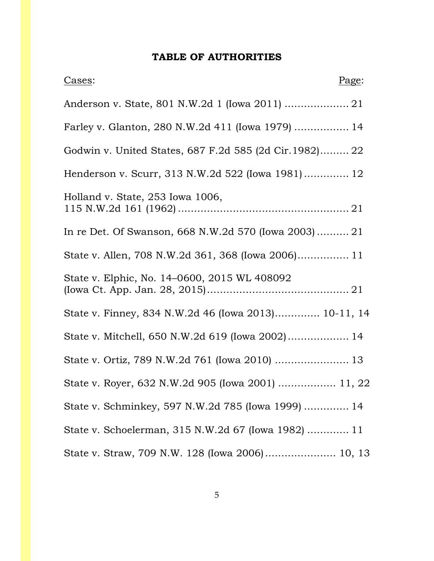# **TABLE OF AUTHORITIES**

| Cases:                                                 | Page: |
|--------------------------------------------------------|-------|
|                                                        |       |
| Farley v. Glanton, 280 N.W.2d 411 (Iowa 1979)  14      |       |
| Godwin v. United States, 687 F.2d 585 (2d Cir.1982) 22 |       |
| Henderson v. Scurr, 313 N.W.2d 522 (Iowa 1981) 12      |       |
| Holland v. State, 253 Iowa 1006,                       |       |
| In re Det. Of Swanson, 668 N.W.2d 570 (lowa 2003) 21   |       |
| State v. Allen, 708 N.W.2d 361, 368 (Iowa 2006) 11     |       |
| State v. Elphic, No. 14-0600, 2015 WL 408092           |       |
| State v. Finney, 834 N.W.2d 46 (Iowa 2013) 10-11, 14   |       |
| State v. Mitchell, 650 N.W.2d 619 (Iowa 2002) 14       |       |
|                                                        |       |
| State v. Royer, 632 N.W.2d 905 (Iowa 2001)  11, 22     |       |
| State v. Schminkey, 597 N.W.2d 785 (Iowa 1999)  14     |       |
| State v. Schoelerman, 315 N.W.2d 67 (Iowa 1982)  11    |       |
| State v. Straw, 709 N.W. 128 (Iowa 2006) 10, 13        |       |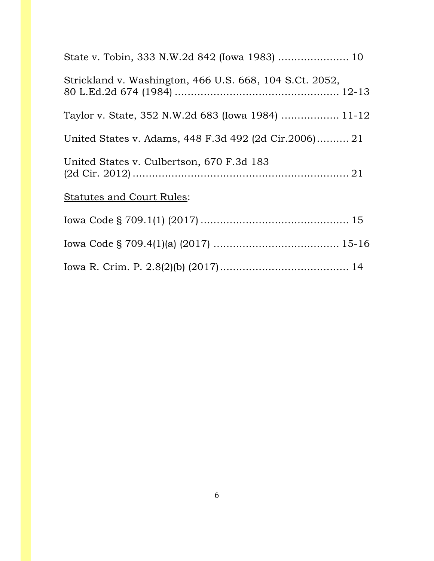| State v. Tobin, 333 N.W.2d 842 (Iowa 1983)  10          |  |
|---------------------------------------------------------|--|
| Strickland v. Washington, 466 U.S. 668, 104 S.Ct. 2052, |  |
| Taylor v. State, 352 N.W.2d 683 (Iowa 1984)  11-12      |  |
| United States v. Adams, 448 F.3d 492 (2d Cir.2006) 21   |  |
| United States v. Culbertson, 670 F.3d 183               |  |
| <b>Statutes and Court Rules:</b>                        |  |
|                                                         |  |
|                                                         |  |
|                                                         |  |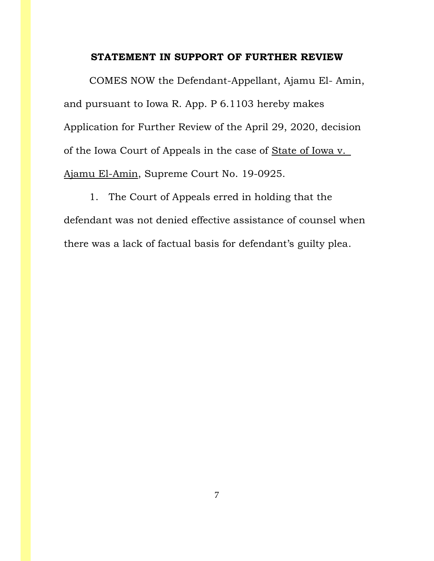### **STATEMENT IN SUPPORT OF FURTHER REVIEW**

COMES NOW the Defendant-Appellant, Ajamu El- Amin, and pursuant to Iowa R. App. P 6.1103 hereby makes Application for Further Review of the April 29, 2020, decision of the Iowa Court of Appeals in the case of State of Iowa v. Ajamu El-Amin, Supreme Court No. 19-0925.

1. The Court of Appeals erred in holding that the defendant was not denied effective assistance of counsel when there was a lack of factual basis for defendant's guilty plea.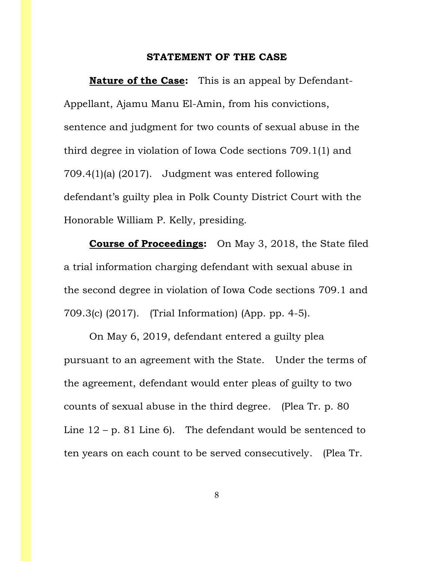### **STATEMENT OF THE CASE**

**Nature of the Case:** This is an appeal by Defendant-Appellant, Ajamu Manu El-Amin, from his convictions, sentence and judgment for two counts of sexual abuse in the third degree in violation of Iowa Code sections 709.1(1) and 709.4(1)(a) (2017). Judgment was entered following defendant's guilty plea in Polk County District Court with the Honorable William P. Kelly, presiding.

**Course of Proceedings:** On May 3, 2018, the State filed a trial information charging defendant with sexual abuse in the second degree in violation of Iowa Code sections 709.1 and 709.3(c) (2017). (Trial Information) (App. pp. 4-5).

On May 6, 2019, defendant entered a guilty plea pursuant to an agreement with the State. Under the terms of the agreement, defendant would enter pleas of guilty to two counts of sexual abuse in the third degree. (Plea Tr. p. 80 Line  $12 - p$ . 81 Line 6). The defendant would be sentenced to ten years on each count to be served consecutively. (Plea Tr.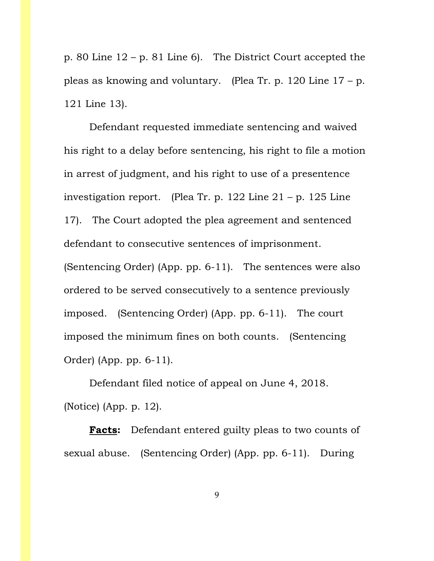p. 80 Line 12 – p. 81 Line 6). The District Court accepted the pleas as knowing and voluntary. (Plea Tr. p. 120 Line 17 – p. 121 Line 13).

Defendant requested immediate sentencing and waived his right to a delay before sentencing, his right to file a motion in arrest of judgment, and his right to use of a presentence investigation report. (Plea Tr. p. 122 Line  $21 - p$ . 125 Line 17). The Court adopted the plea agreement and sentenced defendant to consecutive sentences of imprisonment. (Sentencing Order) (App. pp. 6-11). The sentences were also ordered to be served consecutively to a sentence previously imposed. (Sentencing Order) (App. pp. 6-11). The court imposed the minimum fines on both counts. (Sentencing Order) (App. pp. 6-11).

Defendant filed notice of appeal on June 4, 2018. (Notice) (App. p. 12).

**Facts:** Defendant entered guilty pleas to two counts of sexual abuse. (Sentencing Order) (App. pp. 6-11). During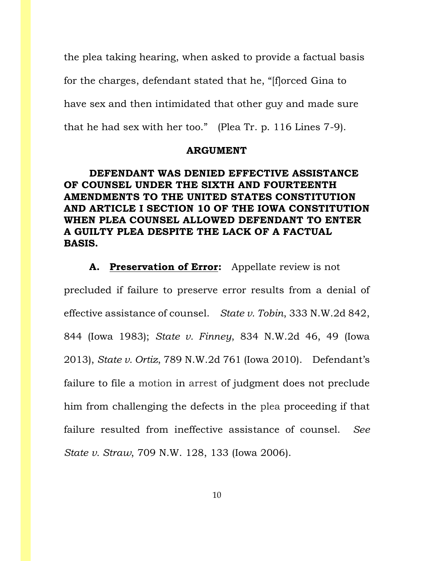the plea taking hearing, when asked to provide a factual basis for the charges, defendant stated that he, "[f]orced Gina to have sex and then intimidated that other guy and made sure that he had sex with her too." (Plea Tr. p. 116 Lines 7-9).

#### **ARGUMENT**

## **DEFENDANT WAS DENIED EFFECTIVE ASSISTANCE OF COUNSEL UNDER THE SIXTH AND FOURTEENTH AMENDMENTS TO THE UNITED STATES CONSTITUTION AND ARTICLE I SECTION 10 OF THE IOWA CONSTITUTION WHEN PLEA COUNSEL ALLOWED DEFENDANT TO ENTER A GUILTY PLEA DESPITE THE LACK OF A FACTUAL BASIS.**

**A. Preservation of Error:** Appellate review is not precluded if failure to preserve error results from a denial of effective assistance of counsel. *State v. Tobin*, 333 N.W.2d 842, 844 (Iowa 1983); *State v. Finney*, 834 N.W.2d 46, 49 (Iowa 2013), *State v. Ortiz*, 789 N.W.2d 761 (Iowa 2010). Defendant's failure to file a motion in arrest of judgment does not preclude him from challenging the defects in the plea proceeding if that failure resulted from ineffective assistance of counsel. *See State v. Straw*, 709 N.W. 128, 133 (Iowa 2006).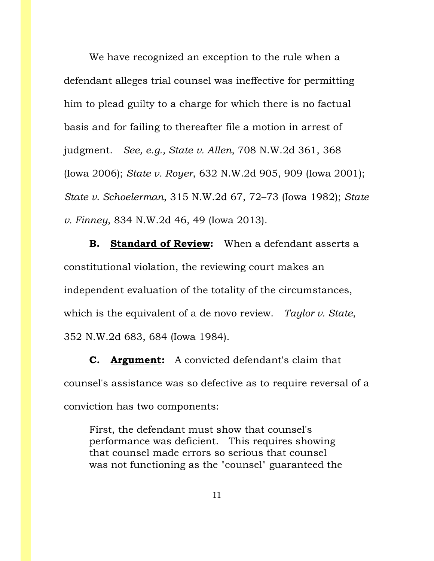We have recognized an exception to the rule when a defendant alleges trial counsel was ineffective for permitting him to plead guilty to a charge for which there is no factual basis and for failing to thereafter file a motion in arrest of judgment. *See, e.g., State v. Allen*, 708 N.W.2d 361, 368 (Iowa 2006); *State v. Royer*, 632 N.W.2d 905, 909 (Iowa 2001); *State v. Schoelerman*, 315 N.W.2d 67, 72–73 (Iowa 1982); *State v. Finney*, 834 N.W.2d 46, 49 (Iowa 2013).

**B. Standard of Review:** When a defendant asserts a constitutional violation, the reviewing court makes an independent evaluation of the totality of the circumstances, which is the equivalent of a de novo review. *Taylor v. State*, 352 N.W.2d 683, 684 (Iowa 1984).

**C. Argument:** A convicted defendant's claim that counsel's assistance was so defective as to require reversal of a conviction has two components:

First, the defendant must show that counsel's performance was deficient. This requires showing that counsel made errors so serious that counsel was not functioning as the "counsel" guaranteed the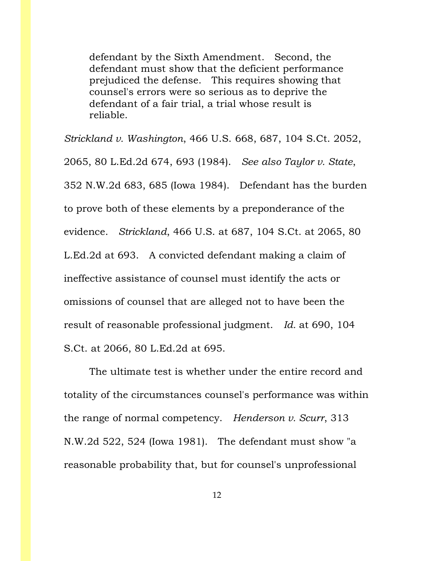defendant by the Sixth Amendment. Second, the defendant must show that the deficient performance prejudiced the defense. This requires showing that counsel's errors were so serious as to deprive the defendant of a fair trial, a trial whose result is reliable.

*Strickland v. Washington*, 466 U.S. 668, 687, 104 S.Ct. 2052, 2065, 80 L.Ed.2d 674, 693 (1984). *See also Taylor v. State*, 352 N.W.2d 683, 685 (Iowa 1984). Defendant has the burden to prove both of these elements by a preponderance of the evidence. *Strickland*, 466 U.S. at 687, 104 S.Ct. at 2065, 80 L.Ed.2d at 693. A convicted defendant making a claim of ineffective assistance of counsel must identify the acts or omissions of counsel that are alleged not to have been the result of reasonable professional judgment. *Id.* at 690, 104 S.Ct. at 2066, 80 L.Ed.2d at 695.

The ultimate test is whether under the entire record and totality of the circumstances counsel's performance was within the range of normal competency. *Henderson v. Scurr*, 313 N.W.2d 522, 524 (Iowa 1981). The defendant must show "a reasonable probability that, but for counsel's unprofessional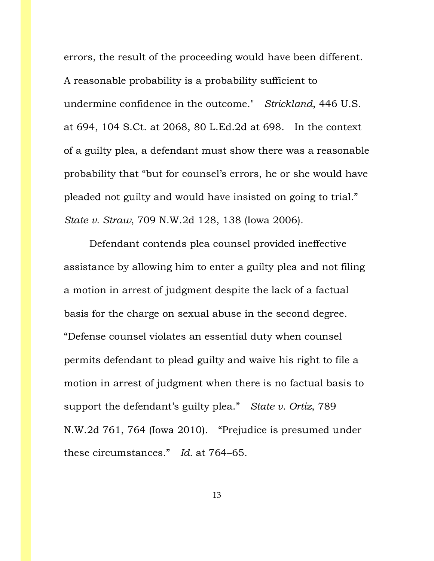errors, the result of the proceeding would have been different. A reasonable probability is a probability sufficient to undermine confidence in the outcome." *Strickland*, 446 U.S. at 694, 104 S.Ct. at 2068, 80 L.Ed.2d at 698. In the context of a guilty plea, a defendant must show there was a reasonable probability that "but for counsel's errors, he or she would have pleaded not guilty and would have insisted on going to trial." *State v. Straw*, 709 N.W.2d 128, 138 (Iowa 2006).

Defendant contends plea counsel provided ineffective assistance by allowing him to enter a guilty plea and not filing a motion in arrest of judgment despite the lack of a factual basis for the charge on sexual abuse in the second degree. "Defense counsel violates an essential duty when counsel permits defendant to plead guilty and waive his right to file a motion in arrest of judgment when there is no factual basis to support the defendant's guilty plea." *State v. Ortiz*, 789 N.W.2d 761, 764 (Iowa 2010). "Prejudice is presumed under these circumstances." *Id.* at 764–65.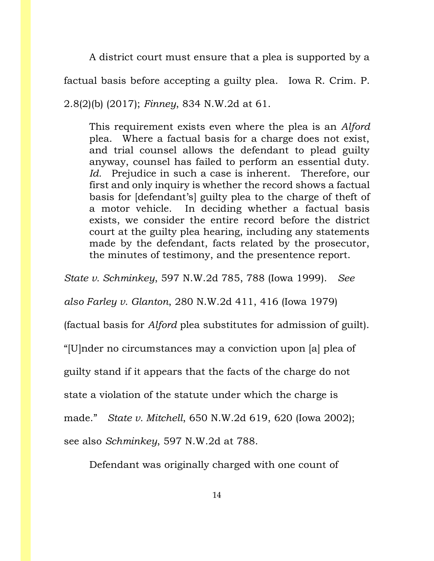A district court must ensure that a plea is supported by a factual basis before accepting a guilty plea. Iowa R. Crim. P. 2.8(2)(b) (2017); *Finney*, 834 N.W.2d at 61.

This requirement exists even where the plea is an *Alford* plea. Where a factual basis for a charge does not exist, and trial counsel allows the defendant to plead guilty anyway, counsel has failed to perform an essential duty. *Id.* Prejudice in such a case is inherent. Therefore, our first and only inquiry is whether the record shows a factual basis for [defendant's] guilty plea to the charge of theft of a motor vehicle. In deciding whether a factual basis exists, we consider the entire record before the district court at the guilty plea hearing, including any statements made by the defendant, facts related by the prosecutor, the minutes of testimony, and the presentence report.

*State v. Schminkey*, 597 N.W.2d 785, 788 (Iowa 1999). *See* 

*also Farley v. Glanton*, 280 N.W.2d 411, 416 (Iowa 1979)

(factual basis for *Alford* plea substitutes for admission of guilt).

"[U]nder no circumstances may a conviction upon [a] plea of

guilty stand if it appears that the facts of the charge do not

state a violation of the statute under which the charge is

made." *State v. Mitchell*, 650 N.W.2d 619, 620 (Iowa 2002);

see also *Schminkey*, 597 N.W.2d at 788.

Defendant was originally charged with one count of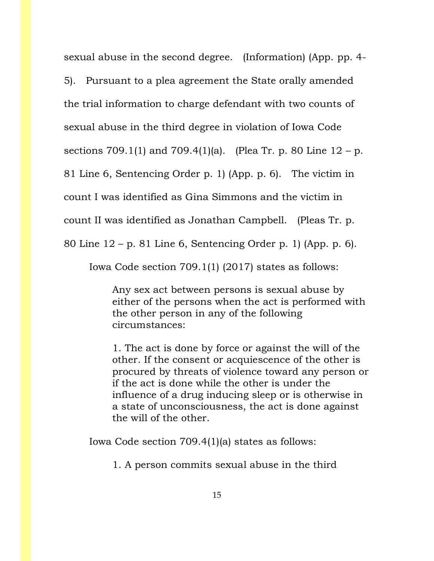sexual abuse in the second degree. (Information) (App. pp. 4-

5). Pursuant to a plea agreement the State orally amended

the trial information to charge defendant with two counts of

sexual abuse in the third degree in violation of Iowa Code

sections 709.1(1) and 709.4(1)(a). (Plea Tr. p. 80 Line  $12 - p$ .

81 Line 6, Sentencing Order p. 1) (App. p. 6). The victim in

count I was identified as Gina Simmons and the victim in

count II was identified as Jonathan Campbell. (Pleas Tr. p.

80 Line 12 – p. 81 Line 6, Sentencing Order p. 1) (App. p. 6).

Iowa Code section 709.1(1) (2017) states as follows:

Any sex act between persons is sexual abuse by either of the persons when the act is performed with the other person in any of the following circumstances:

1. The act is done by force or against the will of the other. If the consent or acquiescence of the other is procured by threats of violence toward any person or if the act is done while the other is under the influence of a drug inducing sleep or is otherwise in a state of unconsciousness, the act is done against the will of the other.

Iowa Code section 709.4(1)(a) states as follows:

1. A person commits sexual abuse in the third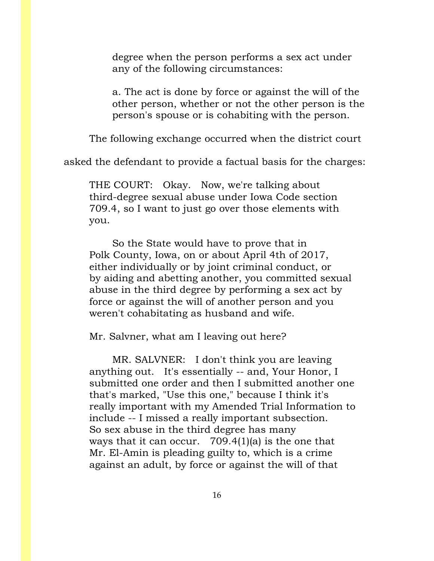degree when the person performs a sex act under any of the following circumstances:

a. The act is done by force or against the will of the other person, whether or not the other person is the person's spouse or is cohabiting with the person.

The following exchange occurred when the district court

asked the defendant to provide a factual basis for the charges:

THE COURT: Okay. Now, we're talking about third-degree sexual abuse under Iowa Code section 709.4, so I want to just go over those elements with you.

So the State would have to prove that in Polk County, Iowa, on or about April 4th of 2017, either individually or by joint criminal conduct, or by aiding and abetting another, you committed sexual abuse in the third degree by performing a sex act by force or against the will of another person and you weren't cohabitating as husband and wife.

Mr. Salvner, what am I leaving out here?

MR. SALVNER: I don't think you are leaving anything out. It's essentially -- and, Your Honor, I submitted one order and then I submitted another one that's marked, "Use this one," because I think it's really important with my Amended Trial Information to include -- I missed a really important subsection. So sex abuse in the third degree has many ways that it can occur. 709.4(1)(a) is the one that Mr. El-Amin is pleading guilty to, which is a crime against an adult, by force or against the will of that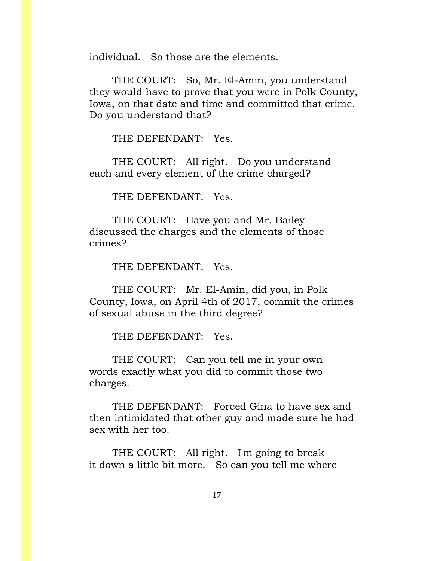individual. So those are the elements.

THE COURT: So, Mr. El-Amin, you understand they would have to prove that you were in Polk County, Iowa, on that date and time and committed that crime. Do you understand that?

THE DEFENDANT: Yes.

THE COURT: All right. Do you understand each and every element of the crime charged?

THE DEFENDANT: Yes.

THE COURT: Have you and Mr. Bailey discussed the charges and the elements of those crimes?

THE DEFENDANT: Yes.

THE COURT: Mr. El-Amin, did you, in Polk County, Iowa, on April 4th of 2017, commit the crimes of sexual abuse in the third degree?

THE DEFENDANT: Yes.

THE COURT: Can you tell me in your own words exactly what you did to commit those two charges.

THE DEFENDANT: Forced Gina to have sex and then intimidated that other guy and made sure he had sex with her too.

THE COURT: All right. I'm going to break it down a little bit more. So can you tell me where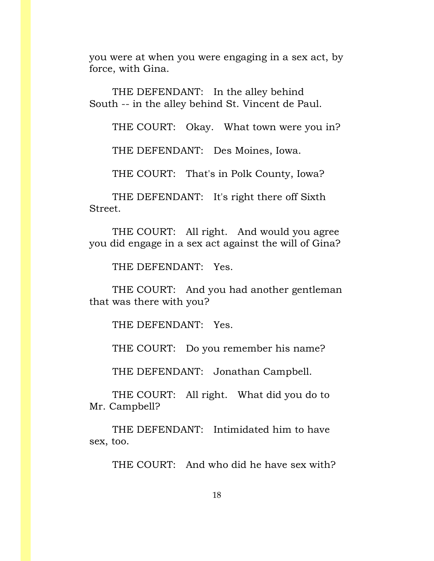you were at when you were engaging in a sex act, by force, with Gina.

THE DEFENDANT: In the alley behind South -- in the alley behind St. Vincent de Paul.

THE COURT: Okay. What town were you in?

THE DEFENDANT: Des Moines, Iowa.

THE COURT: That's in Polk County, Iowa?

THE DEFENDANT: It's right there off Sixth Street.

THE COURT: All right. And would you agree you did engage in a sex act against the will of Gina?

THE DEFENDANT: Yes.

THE COURT: And you had another gentleman that was there with you?

THE DEFENDANT: Yes.

THE COURT: Do you remember his name?

THE DEFENDANT: Jonathan Campbell.

THE COURT: All right. What did you do to Mr. Campbell?

THE DEFENDANT: Intimidated him to have sex, too.

THE COURT: And who did he have sex with?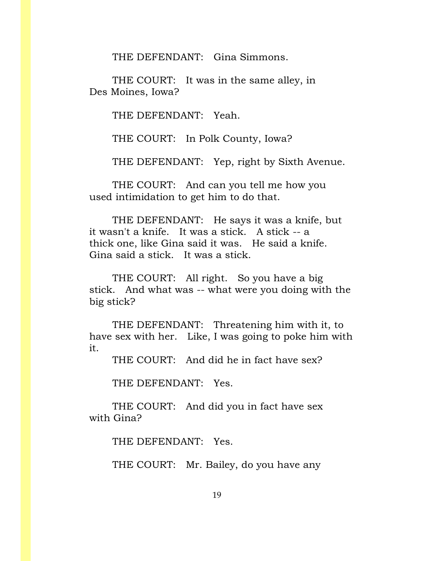THE DEFENDANT: Gina Simmons.

THE COURT: It was in the same alley, in Des Moines, Iowa?

THE DEFENDANT: Yeah.

THE COURT: In Polk County, Iowa?

THE DEFENDANT: Yep, right by Sixth Avenue.

THE COURT: And can you tell me how you used intimidation to get him to do that.

THE DEFENDANT: He says it was a knife, but it wasn't a knife. It was a stick. A stick -- a thick one, like Gina said it was. He said a knife. Gina said a stick. It was a stick.

THE COURT: All right. So you have a big stick. And what was -- what were you doing with the big stick?

THE DEFENDANT: Threatening him with it, to have sex with her. Like, I was going to poke him with it.

THE COURT: And did he in fact have sex?

THE DEFENDANT: Yes.

THE COURT: And did you in fact have sex with Gina?

THE DEFENDANT: Yes.

THE COURT: Mr. Bailey, do you have any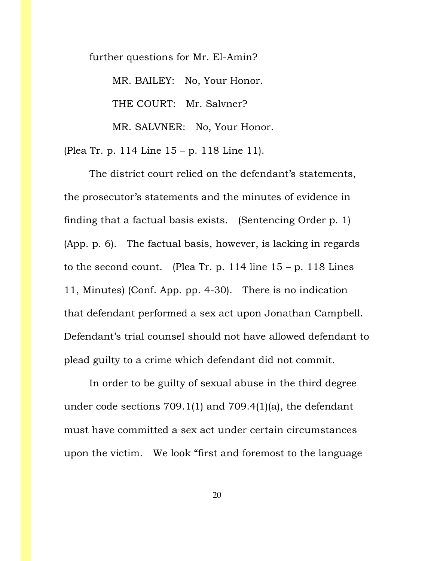further questions for Mr. El-Amin?

MR. BAILEY: No, Your Honor.

THE COURT: Mr. Salvner?

MR. SALVNER: No, Your Honor.

(Plea Tr. p. 114 Line 15 – p. 118 Line 11).

The district court relied on the defendant's statements, the prosecutor's statements and the minutes of evidence in finding that a factual basis exists. (Sentencing Order p. 1) (App. p. 6). The factual basis, however, is lacking in regards to the second count. (Plea Tr. p. 114 line  $15 - p$ . 118 Lines 11, Minutes) (Conf. App. pp. 4-30). There is no indication that defendant performed a sex act upon Jonathan Campbell. Defendant's trial counsel should not have allowed defendant to plead guilty to a crime which defendant did not commit.

In order to be guilty of sexual abuse in the third degree under code sections 709.1(1) and 709.4(1)(a), the defendant must have committed a sex act under certain circumstances upon the victim. We look "first and foremost to the language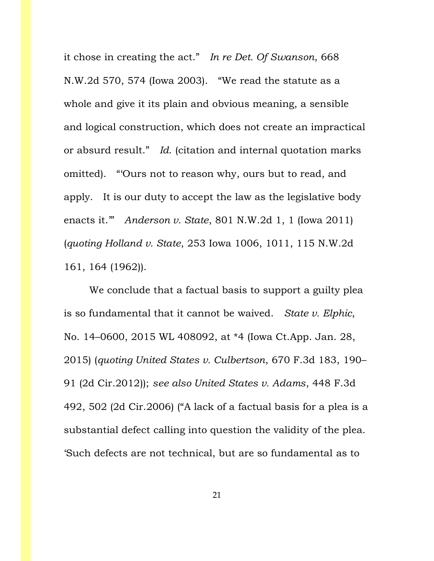it chose in creating the act." *In re Det. Of Swanson*, 668 N.W.2d 570, 574 (Iowa 2003). "We read the statute as a whole and give it its plain and obvious meaning, a sensible and logical construction, which does not create an impractical or absurd result." *Id*. (citation and internal quotation marks omitted). "'Ours not to reason why, ours but to read, and apply. It is our duty to accept the law as the legislative body enacts it.'" *Anderson v. State*, 801 N.W.2d 1, 1 (Iowa 2011) (*quoting Holland v. State*, 253 Iowa 1006, 1011, 115 N.W.2d 161, 164 (1962)).

We conclude that a factual basis to support a guilty plea is so fundamental that it cannot be waived. *State v. Elphic*, No. 14–0600, 2015 WL 408092, at \*4 (Iowa Ct.App. Jan. 28, 2015) (*quoting United States v. Culbertson*, 670 F.3d 183, 190– 91 (2d Cir.2012)); *see also United States v. Adams*, 448 F.3d 492, 502 (2d Cir.2006) ("A lack of a factual basis for a plea is a substantial defect calling into question the validity of the plea. 'Such defects are not technical, but are so fundamental as to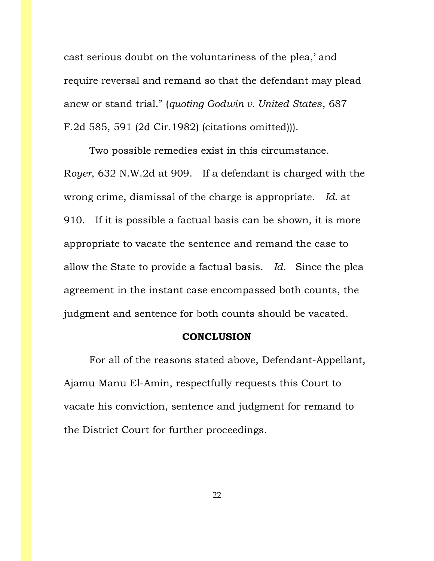cast serious doubt on the voluntariness of the plea,' and require reversal and remand so that the defendant may plead anew or stand trial." (*quoting Godwin v. United States*, 687 F.2d 585, 591 (2d Cir.1982) (citations omitted))).

Two possible remedies exist in this circumstance. R*oyer*, 632 N.W.2d at 909. If a defendant is charged with the wrong crime, dismissal of the charge is appropriate. *Id.* at 910. If it is possible a factual basis can be shown, it is more appropriate to vacate the sentence and remand the case to allow the State to provide a factual basis. *Id.* Since the plea agreement in the instant case encompassed both counts, the judgment and sentence for both counts should be vacated.

### **CONCLUSION**

For all of the reasons stated above, Defendant-Appellant, Ajamu Manu El-Amin, respectfully requests this Court to vacate his conviction, sentence and judgment for remand to the District Court for further proceedings.